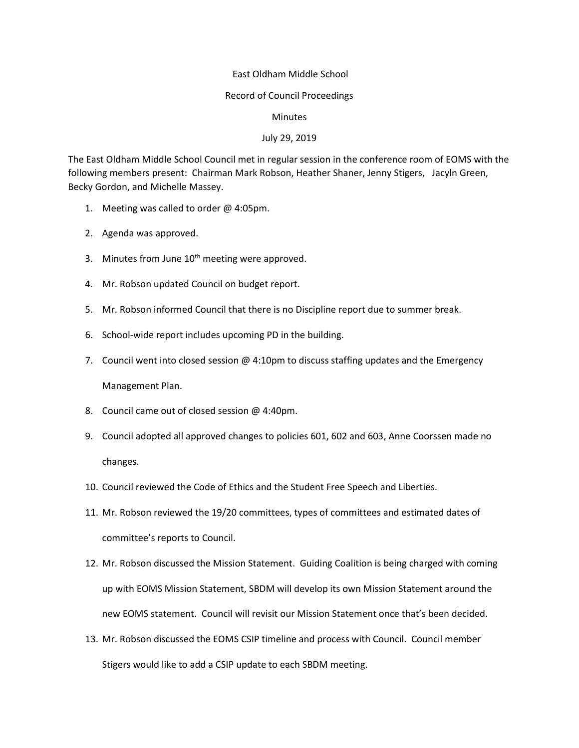## East Oldham Middle School

## Record of Council Proceedings

## **Minutes**

## July 29, 2019

The East Oldham Middle School Council met in regular session in the conference room of EOMS with the following members present: Chairman Mark Robson, Heather Shaner, Jenny Stigers, Jacyln Green, Becky Gordon, and Michelle Massey.

- 1. Meeting was called to order @ 4:05pm.
- 2. Agenda was approved.
- 3. Minutes from June  $10<sup>th</sup>$  meeting were approved.
- 4. Mr. Robson updated Council on budget report.
- 5. Mr. Robson informed Council that there is no Discipline report due to summer break.
- 6. School-wide report includes upcoming PD in the building.
- 7. Council went into closed session  $@$  4:10pm to discuss staffing updates and the Emergency Management Plan.
- 8. Council came out of closed session @ 4:40pm.
- 9. Council adopted all approved changes to policies 601, 602 and 603, Anne Coorssen made no changes.
- 10. Council reviewed the Code of Ethics and the Student Free Speech and Liberties.
- 11. Mr. Robson reviewed the 19/20 committees, types of committees and estimated dates of committee's reports to Council.
- 12. Mr. Robson discussed the Mission Statement. Guiding Coalition is being charged with coming up with EOMS Mission Statement, SBDM will develop its own Mission Statement around the new EOMS statement. Council will revisit our Mission Statement once that's been decided.
- 13. Mr. Robson discussed the EOMS CSIP timeline and process with Council. Council member Stigers would like to add a CSIP update to each SBDM meeting.